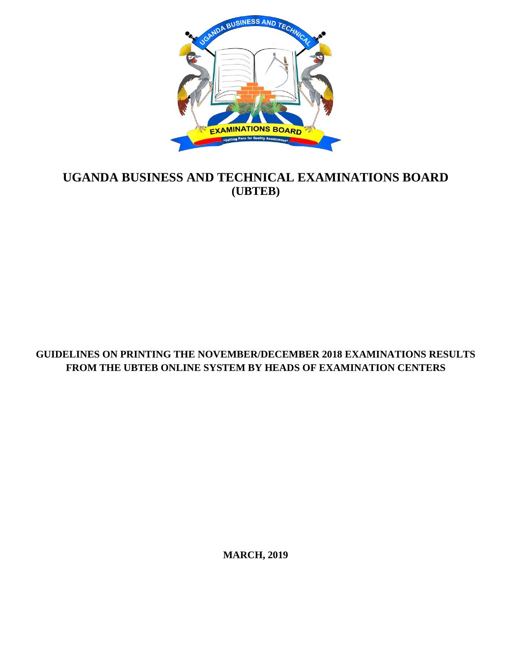

# **UGANDA BUSINESS AND TECHNICAL EXAMINATIONS BOARD (UBTEB)**

## **GUIDELINES ON PRINTING THE NOVEMBER/DECEMBER 2018 EXAMINATIONS RESULTS FROM THE UBTEB ONLINE SYSTEM BY HEADS OF EXAMINATION CENTERS**

**MARCH, 2019**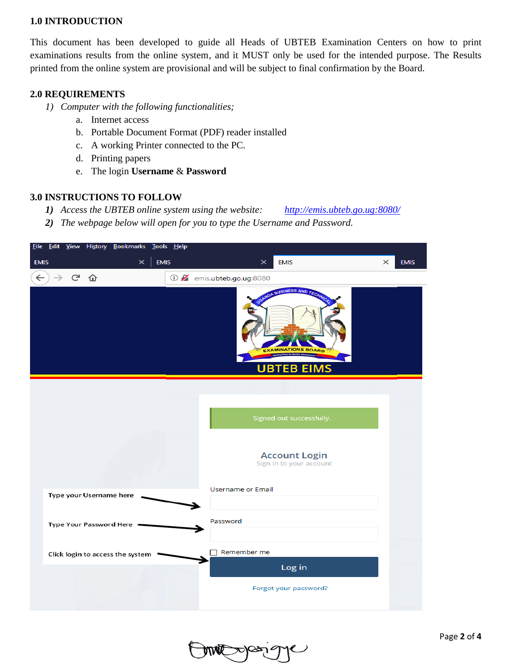#### **1.0 INTRODUCTION**

This document has been developed to guide all Heads of UBTEB Examination Centers on how to print examinations results from the online system, and it MUST only be used for the intended purpose. The Results printed from the online system are provisional and will be subject to final confirmation by the Board.

#### **2.0 REQUIREMENTS**

- *1) Computer with the following functionalities;*
	- a. Internet access
	- b. Portable Document Format (PDF) reader installed
	- c. A working Printer connected to the PC.
	- d. Printing papers
	- e. The login **Username** & **Password**

#### **3.0 INSTRUCTIONS TO FOLLOW**

*1) Access the UBTEB online system using the website: <http://emis.ubteb.go.ug:8080/>*

*2) The webpage below will open for you to type the Username and Password.*

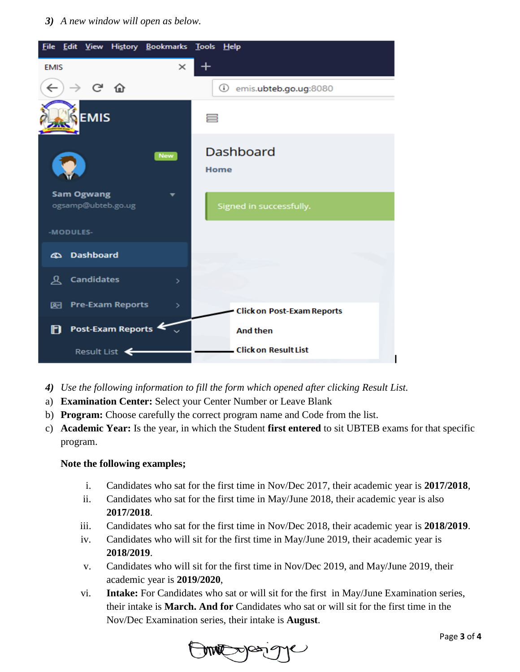*3) A new window will open as below.*



- *4) Use the following information to fill the form which opened after clicking Result List.*
- a) **Examination Center:** Select your Center Number or Leave Blank
- b) **Program:** Choose carefully the correct program name and Code from the list.
- c) **Academic Year:** Is the year, in which the Student **first entered** to sit UBTEB exams for that specific program.

#### **Note the following examples;**

- i. Candidates who sat for the first time in Nov/Dec 2017, their academic year is **2017/2018**,
- ii. Candidates who sat for the first time in May/June 2018, their academic year is also **2017/2018**.
- iii. Candidates who sat for the first time in Nov/Dec 2018, their academic year is **2018/2019**.
- iv. Candidates who will sit for the first time in May/June 2019, their academic year is **2018/2019**.
- v. Candidates who will sit for the first time in Nov/Dec 2019, and May/June 2019, their academic year is **2019/2020**,
- vi. **Intake:** For Candidates who sat or will sit for the first in May/June Examination series, their intake is **March. And for** Candidates who sat or will sit for the first time in the Nov/Dec Examination series, their intake is **August**.